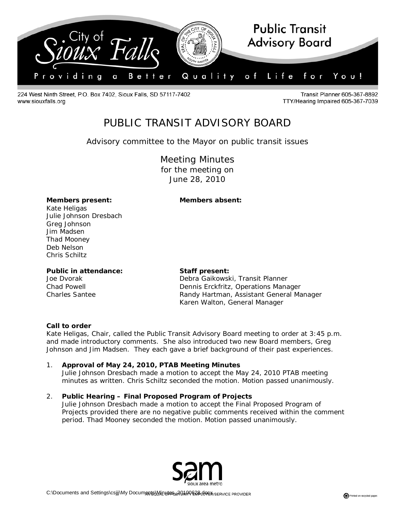

224 West Ninth Street, P.O. Box 7402, Sioux Falls, SD 57117-7402 www.siouxfalls.org

**Transit Planner 605-367-8892** TTY/Hearing Impaired 605-367-7039

# PUBLIC TRANSIT ADVISORY BOARD

## *Advisory committee to the Mayor on public transit issues*

Meeting Minutes for the meeting on June 28, 2010

#### **Members present: Members absent:**

Kate Heligas Julie Johnson Dresbach Greg Johnson Jim Madsen Thad Mooney Deb Nelson Chris Schiltz

#### **Public in attendance: Staff present:**

Joe Dvorak **Debra Gaikowski, Transit Planner** Chad Powell Dennis Erckfritz, Operations Manager Charles Santee Randy Hartman, Assistant General Manager Karen Walton, General Manager

#### **Call to order**

Kate Heligas, Chair, called the Public Transit Advisory Board meeting to order at 3:45 p.m. and made introductory comments. She also introduced two new Board members, Greg Johnson and Jim Madsen. They each gave a brief background of their past experiences.

### 1. **Approval of May 24, 2010, PTAB Meeting Minutes**

Julie Johnson Dresbach made a motion to accept the May 24, 2010 PTAB meeting minutes as written. Chris Schiltz seconded the motion. Motion passed unanimously.

#### 2. **Public Hearing – Final Proposed Program of Projects**

Julie Johnson Dresbach made a motion to accept the Final Proposed Program of Projects provided there are no negative public comments received within the comment period. Thad Mooney seconded the motion. Motion passed unanimously.